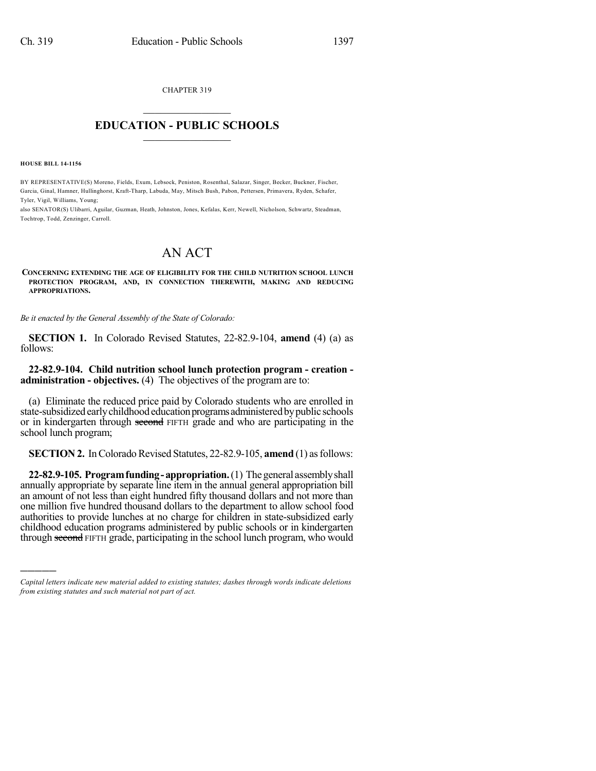CHAPTER 319

## $\overline{\phantom{a}}$  . The set of the set of the set of the set of the set of the set of the set of the set of the set of the set of the set of the set of the set of the set of the set of the set of the set of the set of the set o **EDUCATION - PUBLIC SCHOOLS**  $\_$   $\_$   $\_$   $\_$   $\_$   $\_$   $\_$   $\_$   $\_$

**HOUSE BILL 14-1156**

)))))

BY REPRESENTATIVE(S) Moreno, Fields, Exum, Lebsock, Peniston, Rosenthal, Salazar, Singer, Becker, Buckner, Fischer, Garcia, Ginal, Hamner, Hullinghorst, Kraft-Tharp, Labuda, May, Mitsch Bush, Pabon, Pettersen, Primavera, Ryden, Schafer, Tyler, Vigil, Williams, Young;

also SENATOR(S) Ulibarri, Aguilar, Guzman, Heath, Johnston, Jones, Kefalas, Kerr, Newell, Nicholson, Schwartz, Steadman, Tochtrop, Todd, Zenzinger, Carroll.

## AN ACT

**CONCERNING EXTENDING THE AGE OF ELIGIBILITY FOR THE CHILD NUTRITION SCHOOL LUNCH PROTECTION PROGRAM, AND, IN CONNECTION THEREWITH, MAKING AND REDUCING APPROPRIATIONS.**

*Be it enacted by the General Assembly of the State of Colorado:*

**SECTION 1.** In Colorado Revised Statutes, 22-82.9-104, **amend** (4) (a) as follows:

## **22-82.9-104. Child nutrition school lunch protection program - creation administration - objectives.** (4) The objectives of the program are to:

(a) Eliminate the reduced price paid by Colorado students who are enrolled in state-subsidized early childhood education programs administered by public schools or in kindergarten through second FIFTH grade and who are participating in the school lunch program;

**SECTION 2.** In Colorado Revised Statutes, 22-82.9-105, **amend** (1) as follows:

**22-82.9-105. Programfunding-appropriation.**(1) Thegeneral assemblyshall annually appropriate by separate line item in the annual general appropriation bill an amount of not less than eight hundred fifty thousand dollars and not more than one million five hundred thousand dollars to the department to allow school food authorities to provide lunches at no charge for children in state-subsidized early childhood education programs administered by public schools or in kindergarten through second FIFTH grade, participating in the school lunch program, who would

*Capital letters indicate new material added to existing statutes; dashes through words indicate deletions from existing statutes and such material not part of act.*